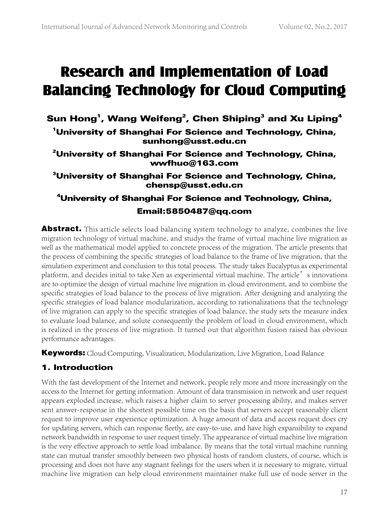# Research and Implementation of Load Balancing Technology for Cloud Computing

Sun Hong $^{\mathsf{1}}$ , Wang Weifeng $^{\mathsf{2}}$ , Chen Shiping $^{\mathsf{3}}$  and Xu Liping $^{\mathsf{4}}$ 1 University of Shanghai For Science and Technology, China, sunhong@usst.edu.cn

 $^{2}$ University of Shanghai For Science and Technology, China, wwfhuo@163.com

 $^3$ University of Shanghai For Science and Technology, China,  $\,$ chensp@usst.edu.cn

# $^{\rm 4}$ University of Shanghai For Science and Technology, China, Email:5850487@qq.com

Abstract. This article selects load balancing system technology to analyze, combines the live migration technology of virtual machine, and studys the frame of virtual machine live migration as well as the mathematical model applied to concrete process of the migration. The article presents that the process of combining the specific strategies of load balance to the frame of live migration, that the simulation experiment and conclusion to this total process. The study takes Eucalyptus as experimental platform, and decides initial to take Xen as experimental virtual machine. The article sinnovations are to optimize the design of virtual machine live migration in cloud environment, and to combine the specific strategies of load balance to the process of live migration. After designing and analyzing the specific strategies of load balance modularization, according to rationalizations that the technology of live migration can apply to the specific strategies of load balance, the study sets the measure index to evaluate load balance, and solute consequently the problem of load in cloud environment, which is realized in the process of live migration. It turned out that algorithm fusion raised has obvious performance advantages.

**Keywords:** Cloud Computing, Visualization, Modularization, Live Migration, Load Balance

## 1. Introduction

With the fast development of the Internet and network, people rely more and more increasingly on the access to the Internet for getting information. Amount of data transmission in network and user request appears exploded increase, which raises a higher claim to server processing ability, and makes server sent answer-response in the shortest possible time on the basis that servers accept reasonably client request to improve user experience optimization. A huge amount of data and access request does cry for updating servers, which can response fleetly, are easy-to-use, and have high expansibility to expand network bandwidth in response to user request timely. The appearance of virtual machine live migration is the very effective approach to settle load imbalance. By means that the total virtual machine running state can mutual transfer smoothly between two physical hosts of random clusters, of course, which is processing and does not have any stagnant feelings for the users when it is necessary to migrate, virtual machine live migration can help cloud environment maintainer make full use of node server in the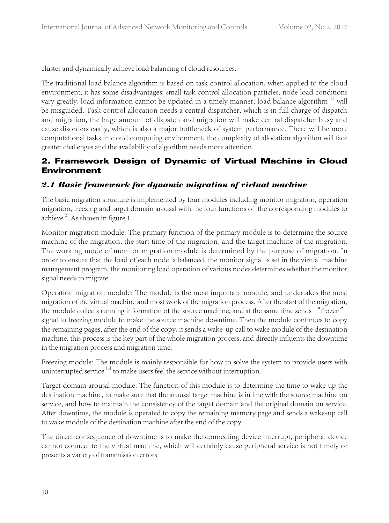cluster and dynamically achieve load balancing of cloud resources.

The traditional load balance algorithm is based on task control allocation, when applied to the cloud environment, it has some disadvantages: small task control allocation particles, node load conditions vary greatly, load information cannot be updated in a timely manner, load balance algorithm<sup>[1]</sup> will be misguided. Task control allocation needs a central dispatcher, which is in full charge of dispatch and migration, the huge amount of dispatch and migration will make central dispatcher busy and cause disorders easily, which is also a major bottleneck of system performance. There will be more computational tasks in cloud computing environment, the complexity of allocation algorithm will face greater challenges and the availability of algorithm needs more attention.

#### 2. Framework Design of Dynamic of Virtual Machine in Cloud Environment

#### *2.1 Basic framework for dynamic migration of virtual machine*

The basic migration structure is implemented by four modules including monitor migration, operation migration, freezing and target domain arousal with the four functions of the corresponding modules to achieve<sup>[2]</sup>. As shown in figure 1.

Monitor migration module: The primary function of the primary module is to determine the source machine of the migration, the start time of the migration, and the target machine of the migration. The working mode of monitor migration module is determined by the purpose of migration. In order to ensure that the load of each node is balanced, the monitor signal is set in the virtual machine management program, the monitoring load operation of various nodes determines whether the monitor signal needs to migrate.

Operation migration module: The module is the most important module, and undertakes the most migration of the virtual machine and most work of the migration process. After the start of the migration, the module collects running information of the source machine, and at the same time sends "frozen" signal to freezing module to make the source machine downtime. Then the module continues to copy the remaining pages, after the end of the copy, it sends a wake-up call to wake module of the destination machine. this process is the key part of the whole migration process, and directly influents the downtime in the migration process and migration time.

Freezing module: The module is mainly responsible for how to solve the system to provide users with uninterrupted service<sup>[3]</sup> to make users feel the service without interruption.

Target domain arousal module: The function of this module is to determine the time to wake up the destination machine, to make sure that the arousal target machine is in line with the source machine on service, and how to maintain the consistency of the target domain and the original domain on service. After downtime, the module is operated to copy the remaining memory page and sends a wake-up call to wake module of the destination machine after the end of the copy.

The direct consequence of downtime is to make the connecting device interrupt, peripheral device cannot connect to the virtual machine, which will certainly cause peripheral service is not timely or presents a variety of transmission errors.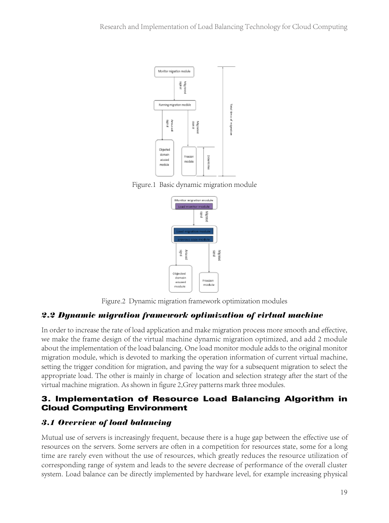

Figure.1 Basic dynamic migration module



Figure.2 Dynamic migration framework optimization modules

# *2.2 Dynamic migration framework optimization of virtual machine*

In order to increase the rate of load application and make migration process more smooth and effective, we make the frame design of the virtual machine dynamic migration optimized, and add 2 module about the implementation of the load balancing. One load monitor module adds to the original monitor migration module, which is devoted to marking the operation information of current virtual machine, setting the trigger condition for migration, and paving the way for a subsequent migration to select the appropriate load. The other is mainly in charge of location and selection strategy after the start of the virtual machine migration. As shown in figure 2,Grey patterns mark three modules.

## 3. Implementation of Resource Load Balancing Algorithm in Cloud Computing Environment

# *3.1 Overview of load balancing*

Mutual use of servers is increasingly frequent, because there is a huge gap between the effective use of resources on the servers. Some servers are often in a competition for resources state, some for a long time are rarely even without the use of resources, which greatly reduces the resource utilization of corresponding range of system and leads to the severe decrease of performance of the overall cluster system. Load balance can be directly implemented by hardware level, for example increasing physical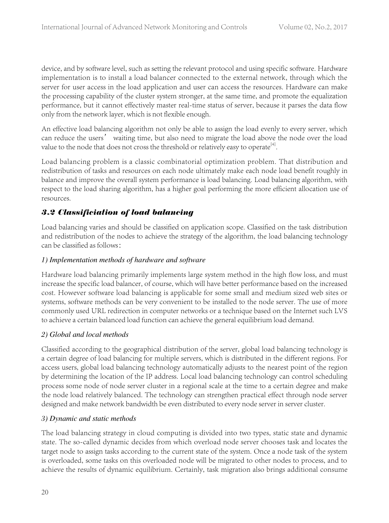device, and by software level, such as setting the relevant protocol and using specific software. Hardware implementation is to install a load balancer connected to the external network, through which the server for user access in the load application and user can access the resources. Hardware can make the processing capability of the cluster system stronger, at the same time, and promote the equalization performance, but it cannot effectively master real-time status of server, because it parses the data flow only from the network layer, which is not flexible enough.

An effective load balancing algorithm not only be able to assign the load evenly to every server, which can reduce the users' waiting time, but also need to migrate the load above the node over the load value to the node that does not cross the threshold or relatively easy to operate<sup>[4]</sup>.

Load balancing problem is a classic combinatorial optimization problem. That distribution and redistribution of tasks and resources on each node ultimately make each node load benefit roughly in balance and improve the overall system performance is load balancing. Load balancing algorithm, with respect to the load sharing algorithm, has a higher goal performing the more efficient allocation use of resources.

## *3.2 Classificiation of load balancing*

Load balancing varies and should be classified on application scope. Classified on the task distribution and redistribution of the nodes to achieve the strategy of the algorithm, the load balancing technology can be classified as follows:

#### 1) Implementation methods of hardware and software

Hardware load balancing primarily implements large system method in the high flow loss, and must increase the specific load balancer, of course, which will have better performance based on the increased cost. However software load balancing is applicable for some small and medium sized web sites or systems, software methods can be very convenient to be installed to the node server. The use of more commonly used URL redirection in computer networks or a technique based on the Internet such LVS to achieve a certain balanced load function can achieve the general equilibrium load demand.

#### 2) Global and local methods

Classified according to the geographical distribution of the server, global load balancing technology is a certain degree of load balancing for multiple servers, which is distributed in the different regions. For access users, global load balancing technology automatically adjusts to the nearest point of the region by determining the location of the IP address. Local load balancing technology can control scheduling process some node of node server cluster in a regional scale at the time to a certain degree and make the node load relatively balanced. The technology can strengthen practical effect through node server designed and make network bandwidth be even distributed to every node server in server cluster.

#### 3) Dynamic and static methods

The load balancing strategy in cloud computing is divided into two types, static state and dynamic state. The so-called dynamic decides from which overload node server chooses task and locates the target node to assign tasks according to the current state of the system. Once a node task of the system is overloaded, some tasks on this overloaded node will be migrated to other nodes to process, and to achieve the results of dynamic equilibrium. Certainly, task migration also brings additional consume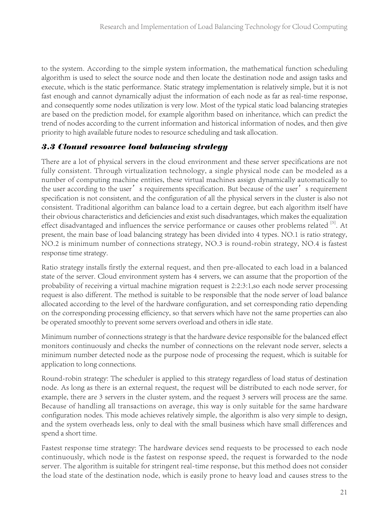to the system. According to the simple system information, the mathematical function scheduling algorithm is used to select the source node and then locate the destination node and assign tasks and execute, which is the static performance. Static strategy implementation is relatively simple, but it is not fast enough and cannot dynamically adjust the information of each node as far as real-time response, and consequently some nodes utilization is very low. Most of the typical static load balancing strategies are based on the prediction model, for example algorithm based on inheritance, which can predict the trend of nodes according to the current information and historical information of nodes, and then give priority to high available future nodes to resource scheduling and task allocation.

## *3.3 Clound resource load balancing strategy*

There are a lot of physical servers in the cloud environment and these server specifications are not fully consistent. Through virtualization technology, a single physical node can be modeled as a number of computing machine entities, these virtual machines assign dynamically automatically to the user according to the user's requirements specification. But because of the user's requirement specification is not consistent, and the configuration of all the physical servers in the cluster is also not consistent. Traditional algorithm can balance load to a certain degree, but each algorithm itself have their obvious characteristics and deficiencies and exist such disadvantages, which makes the equalization effect disadvantaged and influences the service performance or causes other problems related <sup>[5]</sup>. At present, the main base of load balancing strategy has been divided into 4 types. NO.1 is ratio strategy, NO.2 is minimum number of connections strategy, NO.3 is round-robin strategy, NO.4 is fastest response time strategy.

Ratio strategy installs firstly the external request, and then pre-allocated to each load in a balanced state of the server. Cloud environment system has 4 servers, we can assume that the proportion of the probability of receiving a virtual machine migration request is 2:2:3:1,so each node server processing request is also different. The method is suitable to be responsible that the node server of load balance allocated according to the level of the hardware configuration, and set corresponding ratio depending on the corresponding processing efficiency, so that servers which have not the same properties can also be operated smoothly to prevent some servers overload and others in idle state.

Minimum number of connections strategy is that the hardware device responsible for the balanced effect monitors continuously and checks the number of connections on the relevant node server, selects a minimum number detected node as the purpose node of processing the request, which is suitable for application to long connections.

Round-robin strategy: The scheduler is applied to this strategy regardless of load status of destination node. As long as there is an external request, the request will be distributed to each node server, for example, there are 3 servers in the cluster system, and the request 3 servers will process are the same. Because of handling all transactions on average, this way is only suitable for the same hardware configuration nodes. This mode achieves relatively simple, the algorithm is also very simple to design, and the system overheads less, only to deal with the small business which have small differences and spend a short time.

Fastest response time strategy: The hardware devices send requests to be processed to each node continuously, which node is the fastest on response speed, the request is forwarded to the node server. The algorithm is suitable for stringent real-time response, but this method does not consider the load state of the destination node, which is easily prone to heavy load and causes stress to the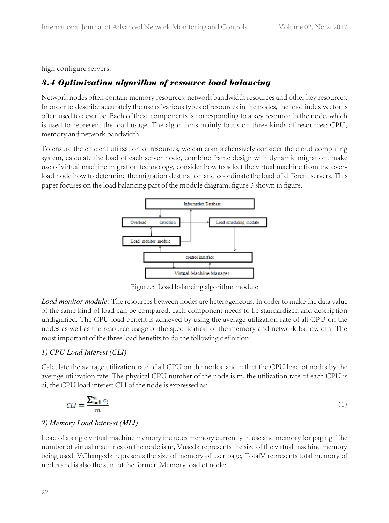high configure servers.

### *3.4 Optimization algorithm of resource load balancing*

Network nodes often contain memory resources, network bandwidth resources and other key resources. In order to describe accurately the use of various types of resources in the nodes, the load index vector is often used to describe. Each of these components is corresponding to a key resource in the node, which is used to represent the load usage. The algorithms mainly focus on three kinds of resources: CPU, memory and network bandwidth.

To ensure the efficient utilization of resources, we can comprehensively consider the cloud computing system, calculate the load of each server node, combine frame design with dynamic migration, make use of virtual machine migration technology, consider how to select the virtual machine from the overload node how to determine the migration destination and coordinate the load of different servers. This paper focuses on the load balancing part of the module diagram, figure 3 shown in figure.



Figure.3 Load balancing algorithm module

Load monitor module: The resources between nodes are heterogeneous. In order to make the data value of the same kind of load can be compared, each component needs to be standardized and description undignified. The CPU load benefit is achieved by using the average utilization rate of all CPU on the nodes as well as the resource usage of the specification of the memory and network bandwidth. The most important of the three load benefits to do the following definition:

#### 1) CPU Load Interest (CLI)

Calculate the average utilization rate of all CPU on the nodes, and reflect the CPU load of nodes by the average utilization rate. The physical CPU number of the node is m, the utilization rate of each CPU is ci, the CPU load interest CLI of the node is expressed as:

$$
CLI = \frac{\sum_{i=1}^{m} c_i}{m} \tag{1}
$$

#### 2) Memory Load Interest (MLI)

Load of a single virtual machine memory includes memory currently in use and memory for paging. The number of virtual machines on the node is m, Vusedk represents the size of the virtual machine memory being used, VChangedk represents the size of memory of user page, TotalV represents total memory of nodes and is also the sum of the former. Memory load of node: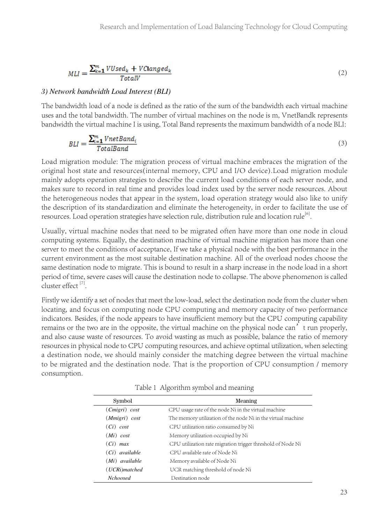$$
MLI = \frac{\sum_{k=1}^{m} VUsed_k + VClanged_k}{TotalV}
$$
 (2)

#### 3) Network bandwidth Load Interest (BLI)

The bandwidth load of a node is defined as the ratio of the sum of the bandwidth each virtual machine uses and the total bandwidth. The number of virtual machines on the node is m, VnetBandk represents bandwidth the virtual machine I is using, Total Band represents the maximum bandwidth of a node BLI:

$$
BLI = \frac{\sum_{i=1}^{m} VnetBand_i}{TotalBand}
$$
\n(3)

Load migration module: The migration process of virtual machine embraces the migration of the original host state and resources(internal memory, CPU and I/O device).Load migration module mainly adopts operation strategies to describe the current load conditions of each server node, and makes sure to record in real time and provides load index used by the server node resources. About the heterogeneous nodes that appear in the system, load operation strategy would also like to unify the description of its standardization and eliminate the heterogeneity, in order to facilitate the use of resources. Load operation strategies have selection rule, distribution rule and location rule<sup>[6]</sup>.

Usually, virtual machine nodes that need to be migrated often have more than one node in cloud computing systems. Equally, the destination machine of virtual machine migration has more than one server to meet the conditions of acceptance, If we take a physical node with the best performance in the current environment as the most suitable destination machine. All of the overload nodes choose the same destination node to migrate. This is bound to result in a sharp increase in the node load in a short period of time, severe cases will cause the destination node to collapse. The above phenomenon is called cluster effect  $^{[7]}$ .

Firstly we identify a set of nodes that meet the low-load, select the destination node from the cluster when locating, and focus on computing node CPU computing and memory capacity of two performance indicators. Besides, if the node appears to have insufficient memory but the CPU computing capability remains or the two are in the opposite, the virtual machine on the physical node can't run properly, and also cause waste of resources. To avoid wasting as much as possible, balance the ratio of memory resources in physical node to CPU computing resources, and achieve optimal utilization, when selecting a destination node, we should mainly consider the matching degree between the virtual machine to be migrated and the destination node. That is the proportion of CPU consumption / memory consumption.

| Symbol                   | Meaning                                                      |
|--------------------------|--------------------------------------------------------------|
| $(Cmigri) \ \text{cost}$ | CPU usage rate of the node Ni in the virtual machine         |
| (Mmigri) cost            | The memory utilization of the node Ni in the virtual machine |
| $(C_i)$ cost             | CPU utilization ratio consumed by Ni                         |
| $(Mi)$ cost              | Memory utilization occupied by Ni                            |
| $(C_i)$ max              | CPU utilization rate migration trigger threshold of Node Ni  |
| (Ci) available           | CPU available rate of Node Ni                                |
| $(Mi)$ available         | Memory available of Node Ni                                  |
| (UCRi)matched            | UCR matching threshold of node Ni                            |
| <b>Nchoosed</b>          | Destination node                                             |

Table 1 Algorithm symbol and meaning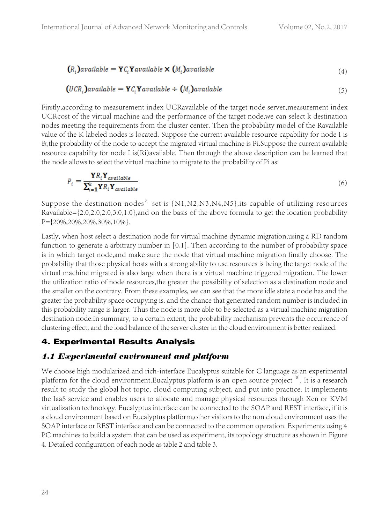$$
R_i) \text{available} = \mathbf{Y} C_i \mathbf{Y} \text{available} \times (M_i) \text{available} \tag{4}
$$

$$
(UCRi) available = \mathbf{Y}Ci \mathbf{Y} available \div (Mi) available
$$
\n(5)

Firstly,according to measurement index UCRavailable of the target node server,measurement index UCRcost of the virtual machine and the performance of the target node,we can select k destination nodes meeting the requirements from the cluster center. Then the probability model of the Ravailable value of the K labeled nodes is located. Suppose the current available resource capability for node I is &,the probability of the node to accept the migrated virtual machine is Pi.Suppose the current available resource capability for node I is(Ri)available. Then through the above description can be learned that the node allows to select the virtual machine to migrate to the probability of Pi as:

$$
P_i = \frac{\mathbf{Y} R_i \mathbf{Y}_{available}}{\sum_{i=1}^{k} \mathbf{Y} R_i \mathbf{Y}_{available}}
$$
\n(6)

Suppose the destination nodes' set is  ${N1,N2,N3,N4,N5}$ , its capable of utilizing resources Ravailable={2.0,2.0,2.0,3.0,1.0},and on the basis of the above formula to get the location probability P={20%,20%,20%,30%,10%}.

Lastly, when host select a destination node for virtual machine dynamic migration,using a RD random function to generate a arbitrary number in [0,1]. Then according to the number of probability space is in which target node,and make sure the node that virtual machine migration finally choose. The probability that those physical hosts with a strong ability to use resources is being the target node of the virtual machine migrated is also large when there is a virtual machine triggered migration. The lower the utilization ratio of node resources,the greater the possibility of selection as a destination node and the smaller on the contrary. From these examples, we can see that the more idle state a node has and the greater the probability space occupying is, and the chance that generated random number is included in this probability range is larger. Thus the node is more able to be selected as a virtual machine migration destination node.In summary, to a certain extent, the probability mechanism prevents the occurrence of clustering effect, and the load balance of the server cluster in the cloud environment is better realized.

#### 4. Experimental Results Analysis

#### *4.1 Experimental environment and platform*

We choose high modularized and rich-interface Eucalyptus suitable for C language as an experimental platform for the cloud environment.Eucalyptus platform is an open source project [8]. It is a research result to study the global hot topic, cloud computing subject, and put into practice. It implements the IaaS service and enables users to allocate and manage physical resources through Xen or KVM virtualization technology. Eucalyptus interface can be connected to the SOAP and REST interface, if it is a cloud environment based on Eucalyptus platform,other visitors to the non cloud environment uses the SOAP interface or REST interface and can be connected to the common operation. Experiments using 4 PC machines to build a system that can be used as experiment, its topology structure as shown in Figure 4. Detailed configuration of each node as table 2 and table 3.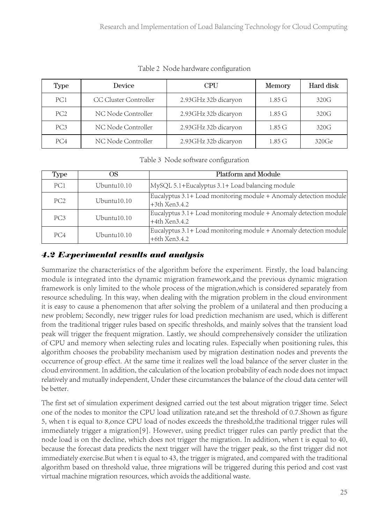| Type            | Device                | <b>CPU</b>           | Memory             | Hard disk |
|-----------------|-----------------------|----------------------|--------------------|-----------|
| PC1             | CC Cluster Controller | 2.93GHz 32b dicaryon | 1.85 <sub>G</sub>  | 320G      |
| PC <sub>2</sub> | NC Node Controller    | 2.93GHz 32b dicaryon | $1.85\,\mathrm{G}$ | 320G      |
| PC3             | NC Node Controller    | 2.93GHz 32b dicaryon | $1.85\,\mathrm{G}$ | 320G      |
| PC4             | NC Node Controller    | 2.93GHz 32b dicaryon | $1.85 \text{ G}$   | 320Ge     |

Table 2 Node hardware configuration

Table 3 Node software configuration

| Type            | ОS          | Platform and Module                                                                  |
|-----------------|-------------|--------------------------------------------------------------------------------------|
| PC <sub>1</sub> | Ubuntu10.10 | MySQL 5.1+Eucalyptus 3.1+ Load balancing module                                      |
| PC2             | Ubuntu10.10 | Eucalyptus 3.1+ Load monitoring module + Anomaly detection module<br>+3th Xen3.4.2   |
| PC3             | Ubuntu10.10 | Eucalyptus 3.1+ Load monitoring module + Anomaly detection module<br>$+4th$ Xen3.4.2 |
| PC4             | Ubuntu10.10 | Eucalyptus 3.1+ Load monitoring module + Anomaly detection module<br>+6th Xen3.4.2   |

# *4.2 Experimental results and analysis*

Summarize the characteristics of the algorithm before the experiment. Firstly, the load balancing module is integrated into the dynamic migration framework,and the previous dynamic migration framework is only limited to the whole process of the migration,which is considered separately from resource scheduling. In this way, when dealing with the migration problem in the cloud environment it is easy to cause a phenomenon that after solving the problem of a unilateral and then producing a new problem; Secondly, new trigger rules for load prediction mechanism are used, which is different from the traditional trigger rules based on specific thresholds, and mainly solves that the transient load peak will trigger the frequent migration. Lastly, we should comprehensively consider the utilization of CPU and memory when selecting rules and locating rules. Especially when positioning rules, this algorithm chooses the probability mechanism used by migration destination nodes and prevents the occurrence of group effect. At the same time it realizes well the load balance of the server cluster in the cloud environment. In addition, the calculation of the location probability of each node does not impact relatively and mutually independent, Under these circumstances the balance of the cloud data center will be better.

The first set of simulation experiment designed carried out the test about migration trigger time. Select one of the nodes to monitor the CPU load utilization rate,and set the threshold of 0.7.Shown as figure 5, when t is equal to 8,once CPU load of nodes exceeds the threshold,the traditional trigger rules will immediately trigger a migration[9]. However, using predict trigger rules can partly predict that the node load is on the decline, which does not trigger the migration. In addition, when t is equal to 40, because the forecast data predicts the next trigger will have the trigger peak, so the first trigger did not immediately exercise.But when t is equal to 43, the trigger is migrated, and compared with the traditional algorithm based on threshold value, three migrations will be triggered during this period and cost vast virtual machine migration resources, which avoids the additional waste.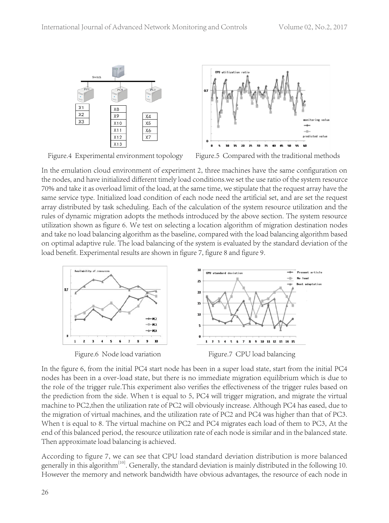

Figure.4 Experimental environment topology Figure.5 Compared with the traditional methods

In the emulation cloud environment of experiment 2, three machines have the same configuration on the nodes, and have initialized different timely load conditions.we set the use ratio of the system resource 70% and take it as overload limit of the load, at the same time, we stipulate that the request array have the same service type. Initialized load condition of each node need the artificial set, and are set the request array distributed by task scheduling. Each of the calculation of the system resource utilization and the rules of dynamic migration adopts the methods introduced by the above section. The system resource utilization shown as figure 6. We test on selecting a location algorithm of migration destination nodes and take no load balancing algorithm as the baseline, compared with the load balancing algorithm based on optimal adaptive rule. The load balancing of the system is evaluated by the standard deviation of the load benefit. Experimental results are shown in figure 7, figure 8 and figure 9.



In the figure 6, from the initial PC4 start node has been in a super load state, start from the initial PC4 nodes has been in a over-load state, but there is no immediate migration equilibrium which is due to the role of the trigger rule.This experiment also verifies the effectiveness of the trigger rules based on the prediction from the side. When t is equal to 5, PC4 will trigger migration, and migrate the virtual machine to PC2,then the utilization rate of PC2 will obviously increase. Although PC4 has eased, due to the migration of virtual machines, and the utilization rate of PC2 and PC4 was higher than that of PC3. When t is equal to 8. The virtual machine on PC2 and PC4 migrates each load of them to PC3, At the end of this balanced period, the resource utilization rate of each node is similar and in the balanced state. Then approximate load balancing is achieved.

According to figure 7, we can see that CPU load standard deviation distribution is more balanced generally in this algorithm<sup>[10]</sup>. Generally, the standard deviation is mainly distributed in the following 10. However the memory and network bandwidth have obvious advantages, the resource of each node in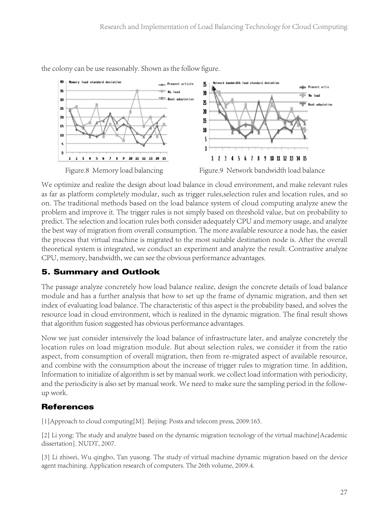

the colony can be use reasonably. Shown as the follow figure.

We optimize and realize the design about load balance in cloud environment, and make relevant rules as far as platform completely modular, such as trigger rules,selection rules and location rules, and so on. The traditional methods based on the load balance system of cloud computing analyze anew the problem and improve it. The trigger rules is not simply based on threshold value, but on probability to predict. The selection and location rules both consider adequately CPU and memory usage, and analyze the best way of migration from overall consumption. The more available resource a node has, the easier the process that virtual machine is migrated to the most suitable destination node is. After the overall theoretical system is integrated, we conduct an experiment and analyze the result. Contrastive analyze CPU, memory, bandwidth, we can see the obvious performance advantages.

# 5. Summary and Outlook

The passage analyze concretely how load balance realize, design the concrete details of load balance module and has a further analysis that how to set up the frame of dynamic migration, and then set index of evaluating load balance. The characteristic of this aspect is the probability based, and solves the resource load in cloud environment, which is realized in the dynamic migration. The final result shows that algorithm fusion suggested has obvious performance advantages.

Now we just consider intensively the load balance of infrastructure later, and analyze concretely the location rules on load migration module. But about selection rules, we consider it from the ratio aspect, from consumption of overall migration, then from re-migrated aspect of available resource, and combine with the consumption about the increase of trigger rules to migration time. In addition, Information to initialize of algorithm is set by manual work. we collect load information with periodicity, and the periodicity is also set by manual work. We need to make sure the sampling period in the followup work.

## **References**

[1]Approach to cloud computing[M]. Beijing: Posts and telecom press, 2009:165.

[2] Li yong: The study and analyze based on the dynamic migration tecnology of the virtual machine[Academic dissertation]. NUDT, 2007.

[3] Li zhiwei, Wu qingbo, Tan yusong. The study of virtual machine dynamic migration based on the device agent machining. Application research of computers. The 26th volume, 2009.4.